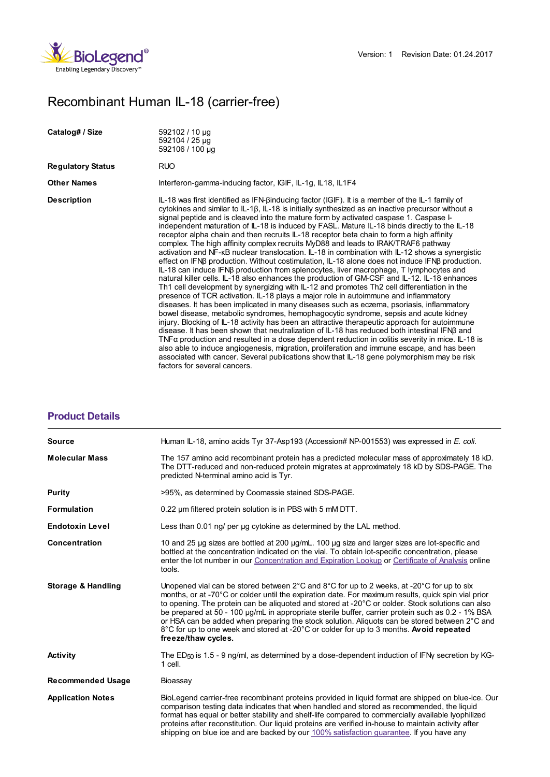

## Recombinant Human IL-18 (carrier-free)

| Catalog# / Size          | 592102 / 10 µg<br>592104 / 25 µg<br>592106 / 100 µg                                                                                                                                                                                                                                                                                                                                                                                                                                                                                                                                                                                                                                                                                                                                                                                                                                                                                                                                                                                                                                                                                                                                                                                                                                                                                                                                                                                                                                                                                                                                                                                                                                                                                                                                                                                                                                                                |
|--------------------------|--------------------------------------------------------------------------------------------------------------------------------------------------------------------------------------------------------------------------------------------------------------------------------------------------------------------------------------------------------------------------------------------------------------------------------------------------------------------------------------------------------------------------------------------------------------------------------------------------------------------------------------------------------------------------------------------------------------------------------------------------------------------------------------------------------------------------------------------------------------------------------------------------------------------------------------------------------------------------------------------------------------------------------------------------------------------------------------------------------------------------------------------------------------------------------------------------------------------------------------------------------------------------------------------------------------------------------------------------------------------------------------------------------------------------------------------------------------------------------------------------------------------------------------------------------------------------------------------------------------------------------------------------------------------------------------------------------------------------------------------------------------------------------------------------------------------------------------------------------------------------------------------------------------------|
| <b>Regulatory Status</b> | <b>RUO</b>                                                                                                                                                                                                                                                                                                                                                                                                                                                                                                                                                                                                                                                                                                                                                                                                                                                                                                                                                                                                                                                                                                                                                                                                                                                                                                                                                                                                                                                                                                                                                                                                                                                                                                                                                                                                                                                                                                         |
| <b>Other Names</b>       | Interferon-gamma-inducing factor, IGIF, IL-1g, IL18, IL1F4                                                                                                                                                                                                                                                                                                                                                                                                                                                                                                                                                                                                                                                                                                                                                                                                                                                                                                                                                                                                                                                                                                                                                                                                                                                                                                                                                                                                                                                                                                                                                                                                                                                                                                                                                                                                                                                         |
| <b>Description</b>       | IL-18 was first identified as IFN- $\beta$ inducing factor (IGIF). It is a member of the IL-1 family of<br>cytokines and similar to $IL-1\beta$ , $IL-18$ is initially synthesized as an inactive precursor without a<br>signal peptide and is cleaved into the mature form by activated caspase 1. Caspase I-<br>independent maturation of IL-18 is induced by FASL. Mature IL-18 binds directly to the IL-18<br>receptor alpha chain and then recruits IL-18 receptor beta chain to form a high affinity<br>complex. The high affinity complex recruits MyD88 and leads to IRAK/TRAF6 pathway<br>activation and NF-kB nuclear translocation. IL-18 in combination with IL-12 shows a synergistic<br>effect on IFNß production. Without costimulation, IL-18 alone does not induce IFNß production.<br>IL-18 can induce IFNB production from splenocytes, liver macrophage, T lymphocytes and<br>natural killer cells. IL-18 also enhances the production of GM-CSF and IL-12. IL-18 enhances<br>Th1 cell development by synergizing with IL-12 and promotes Th2 cell differentiation in the<br>presence of TCR activation. IL-18 plays a major role in autoimmune and inflammatory<br>diseases. It has been implicated in many diseases such as eczema, psoriasis, inflammatory<br>bowel disease, metabolic syndromes, hemophagocytic syndrome, sepsis and acute kidney<br>injury. Blocking of IL-18 activity has been an attractive therapeutic approach for autoimmune<br>disease. It has been shown that neutralization of IL-18 has reduced both intestinal IFNB and<br>TNF $\alpha$ production and resulted in a dose dependent reduction in colitis severity in mice. IL-18 is<br>also able to induce angiogenesis, migration, proliferation and immune escape, and has been<br>associated with cancer. Several publications show that IL-18 gene polymorphism may be risk<br>factors for several cancers. |

## **[Product](https://production-dynamicweb.biolegend.com/de-at/products/recombinant-human-il-18-carrier-free-9101?pdf=true&displayInline=true&leftRightMargin=15&topBottomMargin=15&filename=Recombinant Human IL-18 (carrier-free) .pdf#productDetails) Details**

| <b>Source</b>                 | Human IL-18, amino acids Tyr 37-Asp193 (Accession# NP-001553) was expressed in E. coli.                                                                                                                                                                                                                                                                                                                                                                                                                                                                                                                                                                     |
|-------------------------------|-------------------------------------------------------------------------------------------------------------------------------------------------------------------------------------------------------------------------------------------------------------------------------------------------------------------------------------------------------------------------------------------------------------------------------------------------------------------------------------------------------------------------------------------------------------------------------------------------------------------------------------------------------------|
| <b>Molecular Mass</b>         | The 157 amino acid recombinant protein has a predicted molecular mass of approximately 18 kD.<br>The DTT-reduced and non-reduced protein migrates at approximately 18 kD by SDS-PAGE. The<br>predicted N-terminal amino acid is Tyr.                                                                                                                                                                                                                                                                                                                                                                                                                        |
| Purity                        | >95%, as determined by Coomassie stained SDS-PAGE.                                                                                                                                                                                                                                                                                                                                                                                                                                                                                                                                                                                                          |
| <b>Formulation</b>            | 0.22 um filtered protein solution is in PBS with 5 mM DTT.                                                                                                                                                                                                                                                                                                                                                                                                                                                                                                                                                                                                  |
| <b>Endotoxin Level</b>        | Less than 0.01 ng/ per ug cytokine as determined by the LAL method.                                                                                                                                                                                                                                                                                                                                                                                                                                                                                                                                                                                         |
| Concentration                 | 10 and 25 µg sizes are bottled at 200 µg/mL. 100 µg size and larger sizes are lot-specific and<br>bottled at the concentration indicated on the vial. To obtain lot-specific concentration, please<br>enter the lot number in our Concentration and Expiration Lookup or Certificate of Analysis online<br>tools.                                                                                                                                                                                                                                                                                                                                           |
| <b>Storage &amp; Handling</b> | Unopened vial can be stored between $2^{\circ}$ C and $8^{\circ}$ C for up to 2 weeks, at -20 $^{\circ}$ C for up to six<br>months, or at -70°C or colder until the expiration date. For maximum results, quick spin vial prior<br>to opening. The protein can be aliquoted and stored at -20°C or colder. Stock solutions can also<br>be prepared at 50 - 100 ug/mL in appropriate sterile buffer, carrier protein such as 0.2 - 1% BSA<br>or HSA can be added when preparing the stock solution. Aliquots can be stored between 2°C and<br>8°C for up to one week and stored at -20°C or colder for up to 3 months. Avoid repeated<br>freeze/thaw cycles. |
| <b>Activity</b>               | The ED <sub>50</sub> is 1.5 - 9 ng/ml, as determined by a dose-dependent induction of IFNy secretion by KG-<br>1 cell.                                                                                                                                                                                                                                                                                                                                                                                                                                                                                                                                      |
| <b>Recommended Usage</b>      | Bioassay                                                                                                                                                                                                                                                                                                                                                                                                                                                                                                                                                                                                                                                    |
| <b>Application Notes</b>      | BioLegend carrier-free recombinant proteins provided in liquid format are shipped on blue-ice. Our<br>comparison testing data indicates that when handled and stored as recommended, the liquid<br>format has equal or better stability and shelf-life compared to commercially available lyophilized<br>proteins after reconstitution. Our liquid proteins are verified in-house to maintain activity after<br>shipping on blue ice and are backed by our 100% satisfaction quarantee. If you have any                                                                                                                                                     |